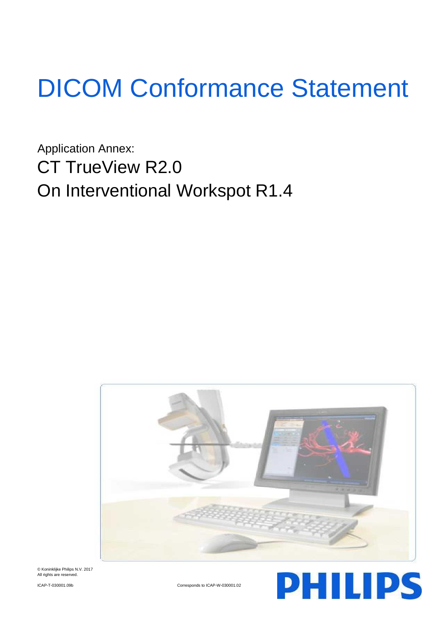# DICOM Conformance Statement

Application Annex: CT TrueView R2.0 On Interventional Workspot R1.4



© Koninklijke Philips N.V. 2017 All rights are reserved

ICAP-T-030001.09b Corresponds to ICAP-W-030001.02

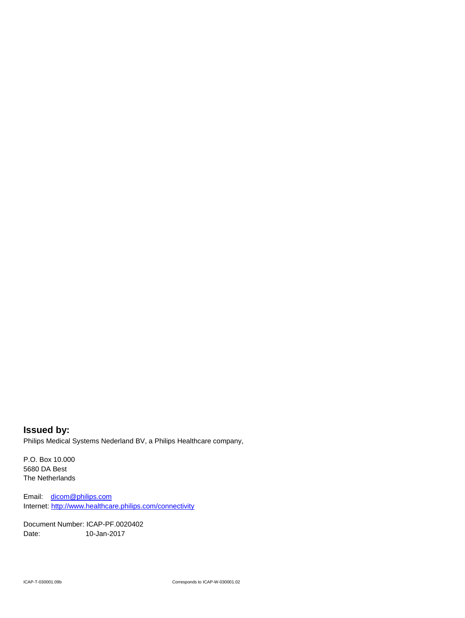**Issued by:** Philips Medical Systems Nederland BV, a Philips Healthcare company,

P.O. Box 10.000 5680 DA Best The Netherlands

Email: [dicom@philips.com](mailto:dicom@philips.com) Internet[: http://www.healthcare.philips.com/connectivity](http://www.healthcare.philips.com/connectivity)

Document Number: ICAP-PF.0020402 Date: 10-Jan-2017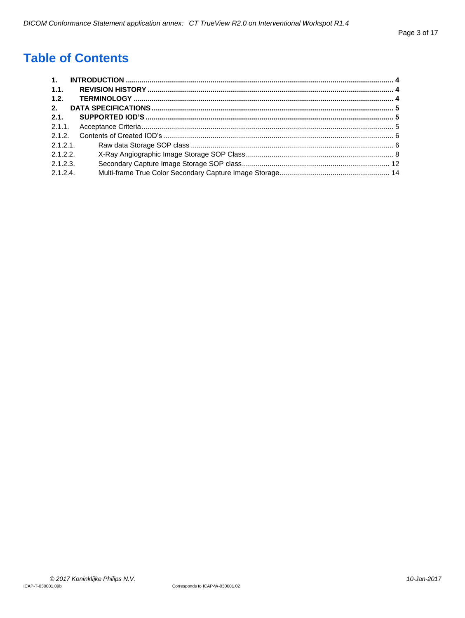# **Table of Contents**

| $\overline{1}$ . |  |
|------------------|--|
| 1.1.             |  |
| 1.2.             |  |
| 2.               |  |
| 2.1.             |  |
|                  |  |
| 2.1.2.           |  |
| 2.1.2.1          |  |
| 2.1.2.2          |  |
| 2.1.2.3          |  |
| 2.1.2.4          |  |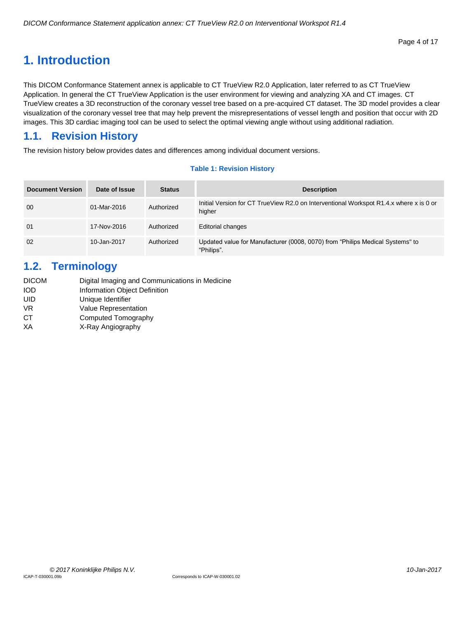# <span id="page-3-0"></span>**1. Introduction**

This DICOM Conformance Statement annex is applicable to CT TrueView R2.0 Application, later referred to as CT TrueView Application. In general the CT TrueView Application is the user environment for viewing and analyzing XA and CT images. CT TrueView creates a 3D reconstruction of the coronary vessel tree based on a pre-acquired CT dataset. The 3D model provides a clear visualization of the coronary vessel tree that may help prevent the misrepresentations of vessel length and position that occur with 2D images. This 3D cardiac imaging tool can be used to select the optimal viewing angle without using additional radiation.

# <span id="page-3-1"></span>**1.1. Revision History**

The revision history below provides dates and differences among individual document versions.

## **Table 1: Revision History**

| <b>Document Version</b> | Date of Issue | <b>Status</b> | <b>Description</b>                                                                               |
|-------------------------|---------------|---------------|--------------------------------------------------------------------------------------------------|
| 00                      | 01-Mar-2016   | Authorized    | Initial Version for CT TrueView R2.0 on Interventional Workspot R1.4.x where x is 0 or<br>higher |
| 01                      | 17-Nov-2016   | Authorized    | <b>Editorial changes</b>                                                                         |
| 02                      | 10-Jan-2017   | Authorized    | Updated value for Manufacturer (0008, 0070) from "Philips Medical Systems" to<br>"Philips".      |

# <span id="page-3-2"></span>**1.2. Terminology**

| <b>DICOM</b> | Digital Imaging and Communications in Medicine |
|--------------|------------------------------------------------|
| IOD          | Information Object Definition                  |
| UID          | Unique Identifier                              |
| VR.          | <b>Value Representation</b>                    |
| CТ           | Computed Tomography                            |
| XА           | X-Ray Angiography                              |
|              |                                                |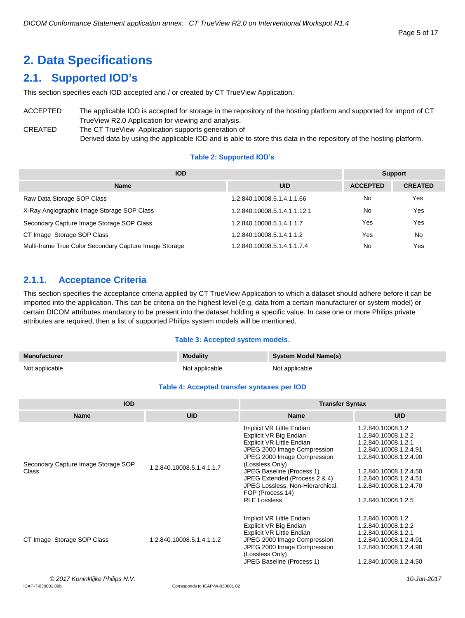# <span id="page-4-0"></span>**2. Data Specifications**

# <span id="page-4-1"></span>**2.1. Supported IOD's**

This section specifies each IOD accepted and / or created by CT TrueView Application.

# ACCEPTED The applicable IOD is accepted for storage in the repository of the hosting platform and supported for import of CT TrueView R2.0 Application for viewing and analysis. CREATED The CT TrueView Application supports generation of

Derived data by using the applicable IOD and is able to store this data in the repository of the hosting platform.

# **Table 2: Supported IOD's**

| <b>IOD</b>                                             |                              |                 | Support        |  |
|--------------------------------------------------------|------------------------------|-----------------|----------------|--|
| <b>Name</b>                                            | <b>UID</b>                   | <b>ACCEPTED</b> | <b>CREATED</b> |  |
| Raw Data Storage SOP Class                             | 1.2.840.10008.5.1.4.1.1.66   | No              | Yes            |  |
| X-Ray Angiographic Image Storage SOP Class             | 1.2.840.10008.5.1.4.1.1.12.1 | No              | Yes            |  |
| Secondary Capture Image Storage SOP Class              | 1.2.840.10008.5.1.4.1.1.7    | Yes             | Yes            |  |
| CT Image Storage SOP Class                             | 1.2.840.10008.5.1.4.1.1.2    | Yes             | No             |  |
| Multi-frame True Color Secondary Capture Image Storage | 1.2.840.10008.5.1.4.1.1.7.4  | No              | Yes            |  |

# <span id="page-4-2"></span>**2.1.1. Acceptance Criteria**

This section specifies the acceptance criteria applied by CT TrueView Application to which a dataset should adhere before it can be imported into the application. This can be criteria on the highest level (e.g. data from a certain manufacturer or system model) or certain DICOM attributes mandatory to be present into the dataset holding a specific value. In case one or more Philips private attributes are required, then a list of supported Philips system models will be mentioned.

# **Table 3: Accepted system models.**

| <b>Manufacturer</b> | <b>Modality</b> | System Model Name(s) |
|---------------------|-----------------|----------------------|
| Not applicable      | Not applicable  | Not applicable       |

# **Table 4: Accepted transfer syntaxes per IOD**

| <b>IOD</b>                                   |                           | <b>Transfer Syntax</b>                                                                                                                                                                                                                                                                                         |                                                                                                                                                                                                                          |  |
|----------------------------------------------|---------------------------|----------------------------------------------------------------------------------------------------------------------------------------------------------------------------------------------------------------------------------------------------------------------------------------------------------------|--------------------------------------------------------------------------------------------------------------------------------------------------------------------------------------------------------------------------|--|
| <b>Name</b>                                  | <b>UID</b>                | <b>Name</b>                                                                                                                                                                                                                                                                                                    | <b>UID</b>                                                                                                                                                                                                               |  |
| Secondary Capture Image Storage SOP<br>Class | 1.2.840.10008.5.1.4.1.1.7 | Implicit VR Little Endian<br>Explicit VR Big Endian<br>Explicit VR Little Endian<br>JPEG 2000 Image Compression<br>JPEG 2000 Image Compression<br>(Lossless Only)<br>JPEG Baseline (Process 1)<br>JPEG Extended (Process 2 & 4)<br>JPEG Lossless, Non-Hierarchical,<br>FOP (Process 14)<br><b>RLE Lossless</b> | 1.2.840.10008.1.2<br>1.2.840.10008.1.2.2<br>1.2.840.10008.1.2.1<br>1.2.840.10008.1.2.4.91<br>1.2.840.10008.1.2.4.90<br>1.2.840.10008.1.2.4.50<br>1.2.840.10008.1.2.4.51<br>1.2.840.10008.1.2.4.70<br>1.2.840.10008.1.2.5 |  |
| CT Image Storage SOP Class                   | 1.2.840.10008.5.1.4.1.1.2 | Implicit VR Little Endian<br>Explicit VR Big Endian<br>Explicit VR Little Endian<br>JPEG 2000 Image Compression<br>JPEG 2000 Image Compression<br>(Lossless Only)<br>JPEG Baseline (Process 1)                                                                                                                 | 1.2.840.10008.1.2<br>1.2.840.10008.1.2.2<br>1.2.840.10008.1.2.1<br>1.2.840.10008.1.2.4.91<br>1.2.840.10008.1.2.4.90<br>1.2.840.10008.1.2.4.50                                                                            |  |
| $\otimes$ 0017 Kapinklika Dhilipa N.V.       |                           |                                                                                                                                                                                                                                                                                                                | $10 \text{ km}$ $2017$                                                                                                                                                                                                   |  |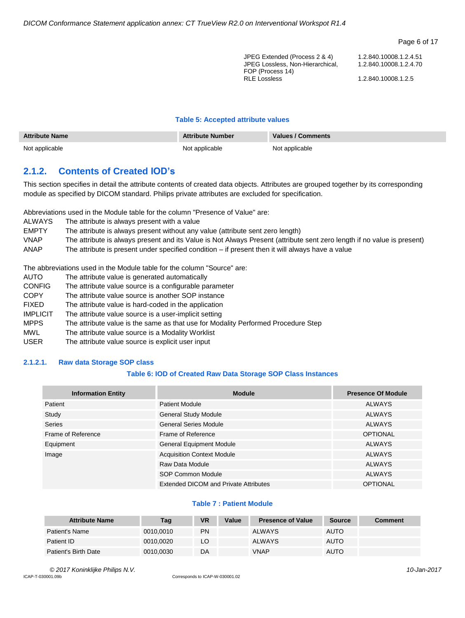#### Page 6 of 17

| JPEG Extended (Process 2 & 4)           | 1.2.840.10008.1.2.4.51 |
|-----------------------------------------|------------------------|
| JPEG Lossless. Non-Hierarchical.        | 1.2.840.10008.1.2.4.70 |
| FOP (Process 14)<br><b>RLE Lossless</b> | 1.2.840.10008.1.2.5    |

#### **Table 5: Accepted attribute values**

| <b>Attribute Name</b> | <b>Attribute Number</b> | Values / Comments |  |
|-----------------------|-------------------------|-------------------|--|
| Not applicable        | Not applicable          | Not applicable    |  |

# <span id="page-5-0"></span>**2.1.2. Contents of Created IOD's**

This section specifies in detail the attribute contents of created data objects. Attributes are grouped together by its corresponding module as specified by DICOM standard. Philips private attributes are excluded for specification.

Abbreviations used in the Module table for the column "Presence of Value" are:

| ALWAYS       | The attribute is always present with a value                                                                            |
|--------------|-------------------------------------------------------------------------------------------------------------------------|
| <b>EMPTY</b> | The attribute is always present without any value (attribute sent zero length)                                          |
| <b>VNAP</b>  | The attribute is always present and its Value is Not Always Present (attribute sent zero length if no value is present) |
| ANAP         | The attribute is present under specified condition - if present then it will always have a value                        |

The abbreviations used in the Module table for the column "Source" are:

- AUTO The attribute value is generated automatically
- CONFIG The attribute value source is a configurable parameter
- COPY The attribute value source is another SOP instance
- FIXED The attribute value is hard-coded in the application
- IMPLICIT The attribute value source is a user-implicit setting
- MPPS The attribute value is the same as that use for Modality Performed Procedure Step
- MWL The attribute value source is a Modality Worklist
- USER The attribute value source is explicit user input

#### <span id="page-5-1"></span>**2.1.2.1. Raw data Storage SOP class**

# **Table 6: IOD of Created Raw Data Storage SOP Class Instances**

| <b>Information Entity</b> | <b>Module</b>                         | <b>Presence Of Module</b> |
|---------------------------|---------------------------------------|---------------------------|
| Patient                   | <b>Patient Module</b>                 | <b>ALWAYS</b>             |
| Study                     | <b>General Study Module</b>           | <b>ALWAYS</b>             |
| Series                    | <b>General Series Module</b>          | <b>ALWAYS</b>             |
| Frame of Reference        | Frame of Reference                    | <b>OPTIONAL</b>           |
| Equipment                 | <b>General Equipment Module</b>       | <b>ALWAYS</b>             |
| Image                     | <b>Acquisition Context Module</b>     | <b>ALWAYS</b>             |
|                           | Raw Data Module                       | <b>ALWAYS</b>             |
|                           | SOP Common Module                     | <b>ALWAYS</b>             |
|                           | Extended DICOM and Private Attributes | <b>OPTIONAL</b>           |

#### **Table 7 : Patient Module**

| <b>Attribute Name</b> | Tag       | <b>VR</b> | Value | <b>Presence of Value</b> | <b>Source</b> | <b>Comment</b> |
|-----------------------|-----------|-----------|-------|--------------------------|---------------|----------------|
| Patient's Name        | 0010.0010 | PN        |       | <b>ALWAYS</b>            | <b>AUTO</b>   |                |
| Patient ID            | 0010,0020 | LO        |       | <b>ALWAYS</b>            | <b>AUTO</b>   |                |
| Patient's Birth Date  | 0010.0030 | DA        |       | <b>VNAP</b>              | <b>AUTO</b>   |                |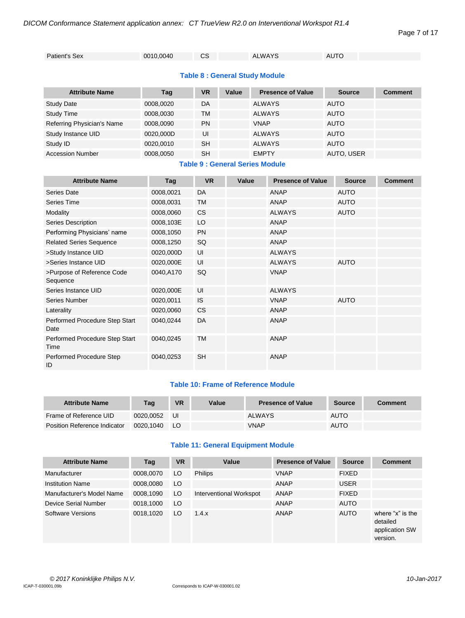Page 7 of 17

# **Table 8 : General Study Module**

| <b>Attribute Name</b>      | Tag       | VR        | Value | <b>Presence of Value</b> | <b>Source</b> | <b>Comment</b> |
|----------------------------|-----------|-----------|-------|--------------------------|---------------|----------------|
| <b>Study Date</b>          | 0008.0020 | DA        |       | <b>ALWAYS</b>            | <b>AUTO</b>   |                |
| <b>Study Time</b>          | 0008.0030 | ТM        |       | <b>ALWAYS</b>            | <b>AUTO</b>   |                |
| Referring Physician's Name | 0008.0090 | <b>PN</b> |       | <b>VNAP</b>              | <b>AUTO</b>   |                |
| Study Instance UID         | 0020.000D | UI        |       | <b>ALWAYS</b>            | <b>AUTO</b>   |                |
| Study ID                   | 0020,0010 | <b>SH</b> |       | <b>ALWAYS</b>            | <b>AUTO</b>   |                |
| <b>Accession Number</b>    | 0008,0050 | <b>SH</b> |       | <b>EMPTY</b>             | AUTO, USER    |                |

# **Table 9 : General Series Module**

| <b>Attribute Name</b>                  | Tag       | <b>VR</b>     | Value | <b>Presence of Value</b> | <b>Source</b> | <b>Comment</b> |
|----------------------------------------|-----------|---------------|-------|--------------------------|---------------|----------------|
| Series Date                            | 0008,0021 | DA            |       | <b>ANAP</b>              | <b>AUTO</b>   |                |
| Series Time                            | 0008,0031 | <b>TM</b>     |       | <b>ANAP</b>              | <b>AUTO</b>   |                |
|                                        |           |               |       |                          |               |                |
| Modality                               | 0008,0060 | <b>CS</b>     |       | <b>ALWAYS</b>            | <b>AUTO</b>   |                |
| Series Description                     | 0008,103E | LO            |       | <b>ANAP</b>              |               |                |
| Performing Physicians' name            | 0008,1050 | <b>PN</b>     |       | <b>ANAP</b>              |               |                |
| <b>Related Series Sequence</b>         | 0008,1250 | SQ            |       | <b>ANAP</b>              |               |                |
| >Study Instance UID                    | 0020,000D | UI            |       | <b>ALWAYS</b>            |               |                |
| >Series Instance UID                   | 0020,000E | UI            |       | <b>ALWAYS</b>            | <b>AUTO</b>   |                |
| >Purpose of Reference Code<br>Sequence | 0040,A170 | SQ            |       | <b>VNAP</b>              |               |                |
| Series Instance UID                    | 0020,000E | UI            |       | <b>ALWAYS</b>            |               |                |
| Series Number                          | 0020,0011 | <b>IS</b>     |       | <b>VNAP</b>              | <b>AUTO</b>   |                |
| Laterality                             | 0020,0060 | <sub>CS</sub> |       | <b>ANAP</b>              |               |                |
| Performed Procedure Step Start<br>Date | 0040,0244 | DA            |       | <b>ANAP</b>              |               |                |
| Performed Procedure Step Start<br>Time | 0040,0245 | <b>TM</b>     |       | ANAP                     |               |                |
| Performed Procedure Step<br>ID         | 0040,0253 | <b>SH</b>     |       | <b>ANAP</b>              |               |                |

# **Table 10: Frame of Reference Module**

| <b>Attribute Name</b>        | Taq       | <b>VR</b> | Value | <b>Presence of Value</b> | <b>Source</b> | Comment |
|------------------------------|-----------|-----------|-------|--------------------------|---------------|---------|
| Frame of Reference UID       | 0020.0052 | UI        |       | <b>ALWAYS</b>            | <b>AUTO</b>   |         |
| Position Reference Indicator | 0020.1040 | LO.       |       | <b>VNAP</b>              | <b>AUTO</b>   |         |

## **Table 11: General Equipment Module**

| <b>Attribute Name</b>     | Tag       | <b>VR</b> | Value                   | <b>Presence of Value</b> | <b>Source</b> | <b>Comment</b>                                             |
|---------------------------|-----------|-----------|-------------------------|--------------------------|---------------|------------------------------------------------------------|
| Manufacturer              | 0008.0070 | LO        | <b>Philips</b>          | <b>VNAP</b>              | <b>FIXED</b>  |                                                            |
| <b>Institution Name</b>   | 0008.0080 | LO        |                         | ANAP                     | <b>USER</b>   |                                                            |
| Manufacturer's Model Name | 0008,1090 | LO        | Interventional Workspot | ANAP                     | <b>FIXED</b>  |                                                            |
| Device Serial Number      | 0018,1000 | LO        |                         | ANAP                     | <b>AUTO</b>   |                                                            |
| Software Versions         | 0018.1020 | LO        | 1.4.x                   | ANAP                     | <b>AUTO</b>   | where "x" is the<br>detailed<br>application SW<br>version. |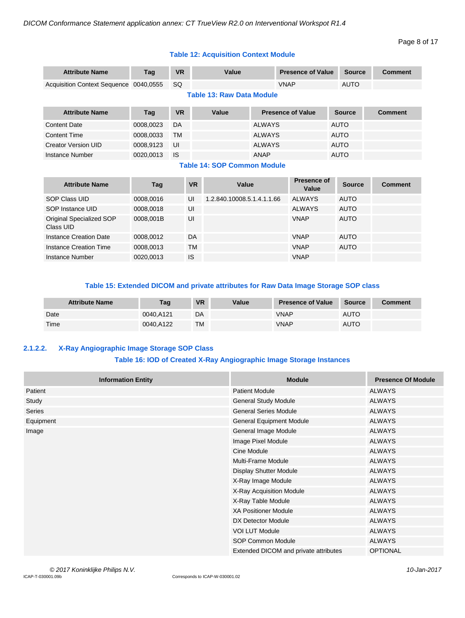Instance Number 0020,0013 IS CHANGE OF CHANGE OF VIOLATION OF CHANGE OF CHANGE OF CHANGE OF CHANGE OF CHANGE O

# **Table 12: Acquisition Context Module**

| <b>Attribute Name</b>                  | Tag       | <b>VR</b> |           | Value                              |               | <b>Presence of Value</b> |  | Source        | <b>Comment</b> |  |
|----------------------------------------|-----------|-----------|-----------|------------------------------------|---------------|--------------------------|--|---------------|----------------|--|
| Acquisition Context Sequence 0040,0555 |           | <b>SQ</b> |           |                                    |               | <b>VNAP</b>              |  | <b>AUTO</b>   |                |  |
| <b>Table 13: Raw Data Module</b>       |           |           |           |                                    |               |                          |  |               |                |  |
| <b>Attribute Name</b>                  | Tag       | <b>VR</b> |           | Value                              |               | <b>Presence of Value</b> |  | <b>Source</b> | <b>Comment</b> |  |
| <b>Content Date</b>                    | 0008,0023 | DA        |           |                                    | <b>ALWAYS</b> |                          |  | <b>AUTO</b>   |                |  |
| <b>Content Time</b>                    | 0008,0033 | <b>TM</b> |           |                                    | <b>ALWAYS</b> |                          |  | <b>AUTO</b>   |                |  |
| <b>Creator Version UID</b>             | 0008,9123 | UI        |           |                                    | <b>ALWAYS</b> |                          |  | <b>AUTO</b>   |                |  |
| Instance Number                        | 0020,0013 | <b>IS</b> |           |                                    | ANAP          |                          |  | <b>AUTO</b>   |                |  |
|                                        |           |           |           | <b>Table 14: SOP Common Module</b> |               |                          |  |               |                |  |
| <b>Attribute Name</b>                  | Tag       |           | <b>VR</b> | Value                              |               | Presence of<br>Value     |  | Source        | <b>Comment</b> |  |
| <b>SOP Class UID</b>                   | 0008,0016 |           | UI        | 1.2.840.10008.5.1.4.1.1.66         |               | <b>ALWAYS</b>            |  | <b>AUTO</b>   |                |  |
| SOP Instance UID                       | 0008,0018 |           | UI        |                                    |               | <b>ALWAYS</b>            |  | <b>AUTO</b>   |                |  |
| Original Specialized SOP<br>Class UID  | 0008,001B |           | UI        |                                    |               | <b>VNAP</b>              |  | <b>AUTO</b>   |                |  |
| <b>Instance Creation Date</b>          | 0008,0012 |           | DA        |                                    |               | <b>VNAP</b>              |  | <b>AUTO</b>   |                |  |
| Instance Creation Time                 | 0008,0013 |           | ТM        |                                    |               | <b>VNAP</b>              |  | <b>AUTO</b>   |                |  |

## **Table 15: Extended DICOM and private attributes for Raw Data Image Storage SOP class**

| <b>Attribute Name</b> | Tag       | <b>VR</b> | Value | <b>Presence of Value</b> | <b>Source</b> | <b>Comment</b> |
|-----------------------|-----------|-----------|-------|--------------------------|---------------|----------------|
| Date                  | 0040,A121 | DA        |       | VNAP                     | <b>AUTO</b>   |                |
| Time                  | 0040.A122 | <b>TM</b> |       | <b>VNAP</b>              | <b>AUTO</b>   |                |

# <span id="page-7-0"></span>**2.1.2.2. X-Ray Angiographic Image Storage SOP Class**

# **Table 16: IOD of Created X-Ray Angiographic Image Storage Instances**

| <b>Information Entity</b> | <b>Module</b>                         | <b>Presence Of Module</b> |
|---------------------------|---------------------------------------|---------------------------|
| Patient                   | <b>Patient Module</b>                 | <b>ALWAYS</b>             |
| Study                     | <b>General Study Module</b>           | <b>ALWAYS</b>             |
| <b>Series</b>             | <b>General Series Module</b>          | <b>ALWAYS</b>             |
| Equipment                 | <b>General Equipment Module</b>       | <b>ALWAYS</b>             |
| Image                     | General Image Module                  | <b>ALWAYS</b>             |
|                           | Image Pixel Module                    | <b>ALWAYS</b>             |
|                           | Cine Module                           | <b>ALWAYS</b>             |
|                           | <b>Multi-Frame Module</b>             | <b>ALWAYS</b>             |
|                           | <b>Display Shutter Module</b>         | <b>ALWAYS</b>             |
|                           | X-Ray Image Module                    | <b>ALWAYS</b>             |
|                           | X-Ray Acquisition Module              | <b>ALWAYS</b>             |
|                           | X-Ray Table Module                    | <b>ALWAYS</b>             |
|                           | <b>XA Positioner Module</b>           | <b>ALWAYS</b>             |
|                           | DX Detector Module                    | <b>ALWAYS</b>             |
|                           | <b>VOI LUT Module</b>                 | <b>ALWAYS</b>             |
|                           | <b>SOP Common Module</b>              | <b>ALWAYS</b>             |
|                           | Extended DICOM and private attributes | <b>OPTIONAL</b>           |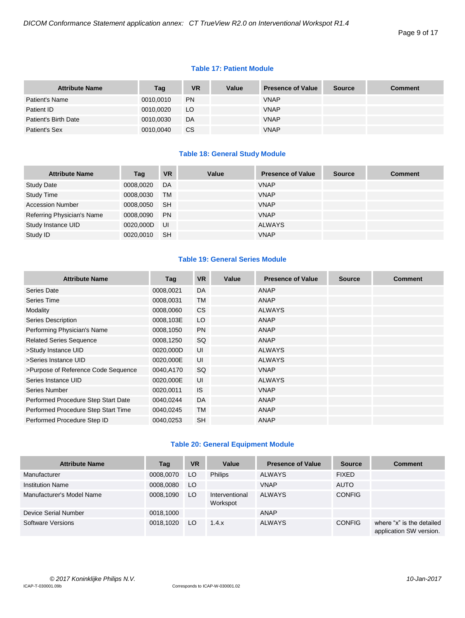#### **Table 17: Patient Module**

| <b>Attribute Name</b> | Tag       | <b>VR</b> | Value | <b>Presence of Value</b> | Source | <b>Comment</b> |
|-----------------------|-----------|-----------|-------|--------------------------|--------|----------------|
| Patient's Name        | 0010,0010 | <b>PN</b> |       | <b>VNAP</b>              |        |                |
| Patient ID            | 0010,0020 | LO.       |       | <b>VNAP</b>              |        |                |
| Patient's Birth Date  | 0010,0030 | DA        |       | <b>VNAP</b>              |        |                |
| Patient's Sex         | 0010,0040 | CS.       |       | <b>VNAP</b>              |        |                |

## **Table 18: General Study Module**

| <b>Attribute Name</b>      | Tag       | <b>VR</b> | Value | <b>Presence of Value</b> | <b>Source</b> | <b>Comment</b> |
|----------------------------|-----------|-----------|-------|--------------------------|---------------|----------------|
| <b>Study Date</b>          | 0008,0020 | DA        |       | <b>VNAP</b>              |               |                |
| <b>Study Time</b>          | 0008,0030 | <b>TM</b> |       | <b>VNAP</b>              |               |                |
| <b>Accession Number</b>    | 0008,0050 | <b>SH</b> |       | <b>VNAP</b>              |               |                |
| Referring Physician's Name | 0008,0090 | <b>PN</b> |       | <b>VNAP</b>              |               |                |
| Study Instance UID         | 0020,000D | UI        |       | <b>ALWAYS</b>            |               |                |
| Study ID                   | 0020.0010 | <b>SH</b> |       | <b>VNAP</b>              |               |                |

# **Table 19: General Series Module**

| <b>Attribute Name</b>               | Tag       | <b>VR</b> | Value | <b>Presence of Value</b> | <b>Source</b> | <b>Comment</b> |
|-------------------------------------|-----------|-----------|-------|--------------------------|---------------|----------------|
| Series Date                         | 0008,0021 | DA        |       | ANAP                     |               |                |
| Series Time                         | 0008,0031 | <b>TM</b> |       | ANAP                     |               |                |
| Modality                            | 0008,0060 | <b>CS</b> |       | <b>ALWAYS</b>            |               |                |
| Series Description                  | 0008,103E | LO        |       | ANAP                     |               |                |
| Performing Physician's Name         | 0008,1050 | <b>PN</b> |       | ANAP                     |               |                |
| <b>Related Series Sequence</b>      | 0008,1250 | SQ        |       | ANAP                     |               |                |
| >Study Instance UID                 | 0020,000D | UI        |       | <b>ALWAYS</b>            |               |                |
| >Series Instance UID                | 0020,000E | UI        |       | <b>ALWAYS</b>            |               |                |
| >Purpose of Reference Code Sequence | 0040,A170 | SQ        |       | <b>VNAP</b>              |               |                |
| Series Instance UID                 | 0020,000E | UI        |       | <b>ALWAYS</b>            |               |                |
| Series Number                       | 0020,0011 | <b>IS</b> |       | <b>VNAP</b>              |               |                |
| Performed Procedure Step Start Date | 0040,0244 | DA        |       | ANAP                     |               |                |
| Performed Procedure Step Start Time | 0040,0245 | <b>TM</b> |       | ANAP                     |               |                |
| Performed Procedure Step ID         | 0040,0253 | <b>SH</b> |       | ANAP                     |               |                |

# **Table 20: General Equipment Module**

| <b>Attribute Name</b>     | Tag       | <b>VR</b> | Value                      | <b>Presence of Value</b> | <b>Source</b> | <b>Comment</b>                                       |
|---------------------------|-----------|-----------|----------------------------|--------------------------|---------------|------------------------------------------------------|
| Manufacturer              | 0008,0070 | LO.       | <b>Philips</b>             | <b>ALWAYS</b>            | <b>FIXED</b>  |                                                      |
| <b>Institution Name</b>   | 0008,0080 | LO.       |                            | <b>VNAP</b>              | <b>AUTO</b>   |                                                      |
| Manufacturer's Model Name | 0008,1090 | LO.       | Interventional<br>Workspot | <b>ALWAYS</b>            | <b>CONFIG</b> |                                                      |
| Device Serial Number      | 0018.1000 |           |                            | <b>ANAP</b>              |               |                                                      |
| Software Versions         | 0018,1020 | LO.       | 1.4.x                      | <b>ALWAYS</b>            | <b>CONFIG</b> | where "x" is the detailed<br>application SW version. |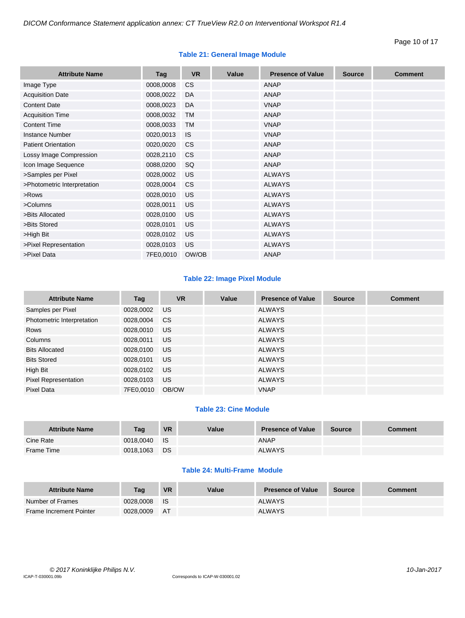# **Table 21: General Image Module**

| <b>Attribute Name</b>       | Tag       | <b>VR</b> | Value | <b>Presence of Value</b> | <b>Source</b> | <b>Comment</b> |
|-----------------------------|-----------|-----------|-------|--------------------------|---------------|----------------|
| Image Type                  | 0008,0008 | <b>CS</b> |       | ANAP                     |               |                |
| <b>Acquisition Date</b>     | 0008,0022 | DA        |       | <b>ANAP</b>              |               |                |
| <b>Content Date</b>         | 0008,0023 | DA        |       | <b>VNAP</b>              |               |                |
| <b>Acquisition Time</b>     | 0008,0032 | <b>TM</b> |       | <b>ANAP</b>              |               |                |
| <b>Content Time</b>         | 0008,0033 | <b>TM</b> |       | <b>VNAP</b>              |               |                |
| <b>Instance Number</b>      | 0020,0013 | <b>IS</b> |       | <b>VNAP</b>              |               |                |
| <b>Patient Orientation</b>  | 0020,0020 | <b>CS</b> |       | <b>ANAP</b>              |               |                |
| Lossy Image Compression     | 0028,2110 | <b>CS</b> |       | <b>ANAP</b>              |               |                |
| Icon Image Sequence         | 0088,0200 | SQ        |       | <b>ANAP</b>              |               |                |
| >Samples per Pixel          | 0028,0002 | US        |       | <b>ALWAYS</b>            |               |                |
| >Photometric Interpretation | 0028,0004 | <b>CS</b> |       | <b>ALWAYS</b>            |               |                |
| >Rows                       | 0028,0010 | <b>US</b> |       | <b>ALWAYS</b>            |               |                |
| >Columns                    | 0028,0011 | <b>US</b> |       | <b>ALWAYS</b>            |               |                |
| >Bits Allocated             | 0028,0100 | <b>US</b> |       | <b>ALWAYS</b>            |               |                |
| >Bits Stored                | 0028,0101 | <b>US</b> |       | <b>ALWAYS</b>            |               |                |
| >High Bit                   | 0028,0102 | <b>US</b> |       | <b>ALWAYS</b>            |               |                |
| >Pixel Representation       | 0028,0103 | <b>US</b> |       | <b>ALWAYS</b>            |               |                |
| >Pixel Data                 | 7FE0,0010 | OW/OB     |       | <b>ANAP</b>              |               |                |

# **Table 22: Image Pixel Module**

| <b>Attribute Name</b>       | Tag       | <b>VR</b> | Value | <b>Presence of Value</b> | <b>Source</b> | <b>Comment</b> |
|-----------------------------|-----------|-----------|-------|--------------------------|---------------|----------------|
| Samples per Pixel           | 0028,0002 | <b>US</b> |       | <b>ALWAYS</b>            |               |                |
| Photometric Interpretation  | 0028,0004 | <b>CS</b> |       | <b>ALWAYS</b>            |               |                |
| Rows                        | 0028,0010 | US        |       | <b>ALWAYS</b>            |               |                |
| Columns                     | 0028,0011 | US        |       | <b>ALWAYS</b>            |               |                |
| <b>Bits Allocated</b>       | 0028,0100 | US.       |       | <b>ALWAYS</b>            |               |                |
| <b>Bits Stored</b>          | 0028,0101 | US        |       | <b>ALWAYS</b>            |               |                |
| High Bit                    | 0028,0102 | US.       |       | <b>ALWAYS</b>            |               |                |
| <b>Pixel Representation</b> | 0028,0103 | <b>US</b> |       | <b>ALWAYS</b>            |               |                |
| Pixel Data                  | 7FE0.0010 | OB/OW     |       | <b>VNAP</b>              |               |                |

# **Table 23: Cine Module**

| <b>Attribute Name</b> | Taq       | <b>VR</b>   | Value | <b>Presence of Value</b> | <b>Source</b> | <b>Comment</b> |
|-----------------------|-----------|-------------|-------|--------------------------|---------------|----------------|
| Cine Rate             | 0018.0040 | <b>I</b> IS |       | <b>ANAP</b>              |               |                |
| Frame Time            | 0018,1063 | <b>DS</b>   |       | <b>ALWAYS</b>            |               |                |

# **Table 24: Multi-Frame Module**

| <b>Attribute Name</b>   | Taq       | <b>VR</b> | Value | <b>Presence of Value</b> | <b>Source</b> | <b>Comment</b> |
|-------------------------|-----------|-----------|-------|--------------------------|---------------|----------------|
| Number of Frames        | 0028,0008 | - IS      |       | <b>ALWAYS</b>            |               |                |
| Frame Increment Pointer | 0028.0009 | <b>AT</b> |       | <b>ALWAYS</b>            |               |                |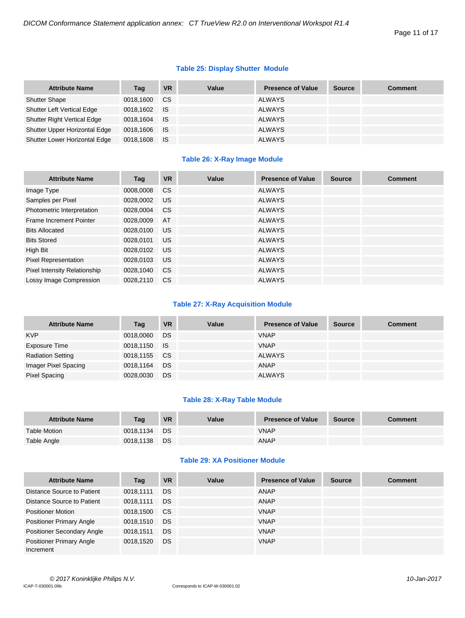# **Table 25: Display Shutter Module**

| <b>Attribute Name</b>         | Tag       | <b>VR</b> | Value | <b>Presence of Value</b> | <b>Source</b> | <b>Comment</b> |
|-------------------------------|-----------|-----------|-------|--------------------------|---------------|----------------|
| <b>Shutter Shape</b>          | 0018,1600 | CS.       |       | <b>ALWAYS</b>            |               |                |
| Shutter Left Vertical Edge    | 0018,1602 | <b>IS</b> |       | ALWAYS                   |               |                |
| Shutter Right Vertical Edge   | 0018,1604 | <b>IS</b> |       | ALWAYS                   |               |                |
| Shutter Upper Horizontal Edge | 0018,1606 | <b>IS</b> |       | <b>ALWAYS</b>            |               |                |
| Shutter Lower Horizontal Edge | 0018,1608 | ⊟ IS      |       | <b>ALWAYS</b>            |               |                |

# **Table 26: X-Ray Image Module**

| <b>Attribute Name</b>          | Tag       | <b>VR</b>     | Value | <b>Presence of Value</b> | <b>Source</b> | <b>Comment</b> |
|--------------------------------|-----------|---------------|-------|--------------------------|---------------|----------------|
| Image Type                     | 0008,0008 | <sub>CS</sub> |       | <b>ALWAYS</b>            |               |                |
| Samples per Pixel              | 0028,0002 | US            |       | <b>ALWAYS</b>            |               |                |
| Photometric Interpretation     | 0028,0004 | <sub>CS</sub> |       | <b>ALWAYS</b>            |               |                |
| <b>Frame Increment Pointer</b> | 0028,0009 | AT            |       | <b>ALWAYS</b>            |               |                |
| <b>Bits Allocated</b>          | 0028,0100 | <b>US</b>     |       | <b>ALWAYS</b>            |               |                |
| <b>Bits Stored</b>             | 0028.0101 | US.           |       | <b>ALWAYS</b>            |               |                |
| High Bit                       | 0028,0102 | <b>US</b>     |       | <b>ALWAYS</b>            |               |                |
| <b>Pixel Representation</b>    | 0028.0103 | <b>US</b>     |       | <b>ALWAYS</b>            |               |                |
| Pixel Intensity Relationship   | 0028,1040 | <sub>CS</sub> |       | <b>ALWAYS</b>            |               |                |
| Lossy Image Compression        | 0028.2110 | <b>CS</b>     |       | <b>ALWAYS</b>            |               |                |

## **Table 27: X-Ray Acquisition Module**

| <b>Attribute Name</b>    | Tag          | <b>VR</b> | Value | <b>Presence of Value</b> | <b>Source</b> | <b>Comment</b> |
|--------------------------|--------------|-----------|-------|--------------------------|---------------|----------------|
| <b>KVP</b>               | 0018,0060    | DS        |       | <b>VNAP</b>              |               |                |
| Exposure Time            | 0018,1150 IS |           |       | <b>VNAP</b>              |               |                |
| <b>Radiation Setting</b> | 0018,1155    | CS.       |       | <b>ALWAYS</b>            |               |                |
| Imager Pixel Spacing     | 0018,1164    | DS        |       | ANAP                     |               |                |
| Pixel Spacing            | 0028,0030    | <b>DS</b> |       | <b>ALWAYS</b>            |               |                |

## **Table 28: X-Ray Table Module**

| <b>Attribute Name</b> | Tag       | <b>VR</b> | Value | Presence of Value | <b>Source</b> | <b>Comment</b> |
|-----------------------|-----------|-----------|-------|-------------------|---------------|----------------|
| <b>Table Motion</b>   | 0018.1134 | <b>DS</b> |       | <b>VNAP</b>       |               |                |
| Table Angle           | 0018,1138 | <b>DS</b> |       | <b>ANAP</b>       |               |                |

# **Table 29: XA Positioner Module**

| <b>Attribute Name</b>                        | Tag       | <b>VR</b> | Value | <b>Presence of Value</b> | <b>Source</b> | <b>Comment</b> |
|----------------------------------------------|-----------|-----------|-------|--------------------------|---------------|----------------|
| Distance Source to Patient                   | 0018.1111 | DS        |       | ANAP                     |               |                |
| Distance Source to Patient                   | 0018.1111 | DS        |       | ANAP                     |               |                |
| <b>Positioner Motion</b>                     | 0018,1500 | <b>CS</b> |       | <b>VNAP</b>              |               |                |
| <b>Positioner Primary Angle</b>              | 0018,1510 | DS        |       | <b>VNAP</b>              |               |                |
| <b>Positioner Secondary Angle</b>            | 0018.1511 | DS        |       | <b>VNAP</b>              |               |                |
| <b>Positioner Primary Angle</b><br>Increment | 0018,1520 | DS        |       | <b>VNAP</b>              |               |                |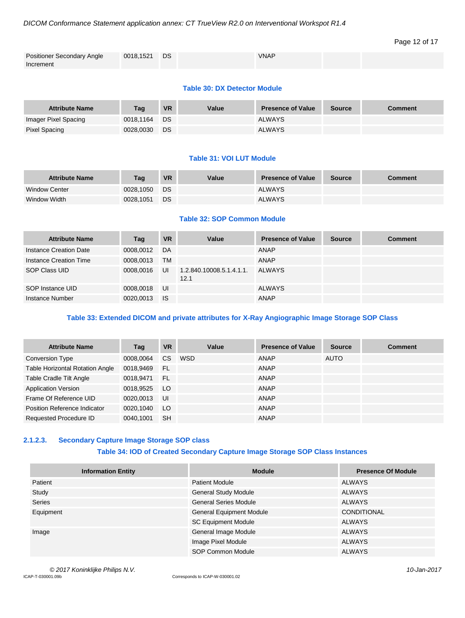## *DICOM Conformance Statement application annex: CT TrueView R2.0 on Interventional Workspot R1.4*

# Page 12 of 17

| <b>Positioner Secondary Angle</b> | 0018,1521 | <b>DS</b> | <b>VNAP</b> |  |
|-----------------------------------|-----------|-----------|-------------|--|
| Increment                         |           |           |             |  |

#### **Table 30: DX Detector Module**

| <b>Attribute Name</b> | Taq       | <b>VR</b> | Value | <b>Presence of Value</b> | <b>Source</b> | <b>Comment</b> |
|-----------------------|-----------|-----------|-------|--------------------------|---------------|----------------|
| Imager Pixel Spacing  | 0018.1164 | <b>DS</b> |       | <b>ALWAYS</b>            |               |                |
| <b>Pixel Spacing</b>  | 0028.0030 | DS        |       | <b>ALWAYS</b>            |               |                |

# **Table 31: VOI LUT Module**

| <b>Attribute Name</b> | Taq       | <b>VR</b> | Value | <b>Presence of Value</b> | <b>Source</b> | <b>Comment</b> |
|-----------------------|-----------|-----------|-------|--------------------------|---------------|----------------|
| <b>Window Center</b>  | 0028.1050 | DS        |       | <b>ALWAYS</b>            |               |                |
| Window Width          | 0028.1051 | DS        |       | <b>ALWAYS</b>            |               |                |

# **Table 32: SOP Common Module**

| <b>Attribute Name</b>  | Tag       | <b>VR</b> | Value                            | <b>Presence of Value</b> | <b>Source</b> | <b>Comment</b> |
|------------------------|-----------|-----------|----------------------------------|--------------------------|---------------|----------------|
| Instance Creation Date | 0008,0012 | DA        |                                  | ANAP                     |               |                |
| Instance Creation Time | 0008.0013 | <b>TM</b> |                                  | ANAP                     |               |                |
| SOP Class UID          | 0008.0016 | UI        | 1.2.840.10008.5.1.4.1.1.<br>12.1 | <b>ALWAYS</b>            |               |                |
| SOP Instance UID       | 0008,0018 | UI        |                                  | <b>ALWAYS</b>            |               |                |
| Instance Number        | 0020,0013 | <b>IS</b> |                                  | ANAP                     |               |                |

# **Table 33: Extended DICOM and private attributes for X-Ray Angiographic Image Storage SOP Class**

| <b>Attribute Name</b>                  | Tag       | <b>VR</b> | Value | <b>Presence of Value</b> | <b>Source</b> | <b>Comment</b> |
|----------------------------------------|-----------|-----------|-------|--------------------------|---------------|----------------|
| <b>Conversion Type</b>                 | 0008,0064 | <b>CS</b> | WSD   | <b>ANAP</b>              | <b>AUTO</b>   |                |
| <b>Table Horizontal Rotation Angle</b> | 0018,9469 | - FL      |       | ANAP                     |               |                |
| <b>Table Cradle Tilt Angle</b>         | 0018.9471 | - FL      |       | ANAP                     |               |                |
| <b>Application Version</b>             | 0018,9525 | LO.       |       | <b>ANAP</b>              |               |                |
| Frame Of Reference UID                 | 0020,0013 | UI        |       | <b>ANAP</b>              |               |                |
| Position Reference Indicator           | 0020,1040 | LO.       |       | ANAP                     |               |                |
| Requested Procedure ID                 | 0040.1001 | <b>SH</b> |       | <b>ANAP</b>              |               |                |

# <span id="page-11-0"></span>**2.1.2.3. Secondary Capture Image Storage SOP class**

# **Table 34: IOD of Created Secondary Capture Image Storage SOP Class Instances**

| <b>Information Entity</b> | <b>Module</b>                   | <b>Presence Of Module</b> |
|---------------------------|---------------------------------|---------------------------|
| Patient                   | <b>Patient Module</b>           | ALWAYS                    |
| Study                     | <b>General Study Module</b>     | <b>ALWAYS</b>             |
| <b>Series</b>             | <b>General Series Module</b>    | <b>ALWAYS</b>             |
| Equipment                 | <b>General Equipment Module</b> | <b>CONDITIONAL</b>        |
|                           | <b>SC Equipment Module</b>      | <b>ALWAYS</b>             |
| Image                     | <b>General Image Module</b>     | <b>ALWAYS</b>             |
|                           | Image Pixel Module              | <b>ALWAYS</b>             |
|                           | SOP Common Module               | <b>ALWAYS</b>             |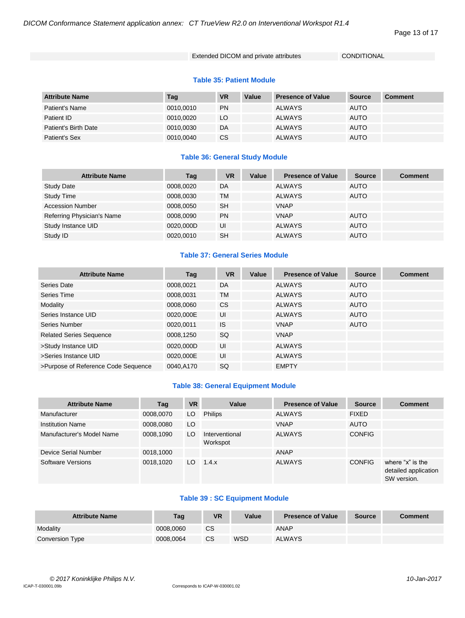#### Page 13 of 17

## Extended DICOM and private attributes CONDITIONAL

#### **Table 35: Patient Module**

| <b>Attribute Name</b> | Tag       | <b>VR</b> | Value | <b>Presence of Value</b> | Source      | <b>Comment</b> |
|-----------------------|-----------|-----------|-------|--------------------------|-------------|----------------|
| Patient's Name        | 0010.0010 | <b>PN</b> |       | <b>ALWAYS</b>            | <b>AUTO</b> |                |
| Patient ID            | 0010.0020 | LO.       |       | <b>ALWAYS</b>            | <b>AUTO</b> |                |
| Patient's Birth Date  | 0010.0030 | DA        |       | <b>ALWAYS</b>            | <b>AUTO</b> |                |
| Patient's Sex         | 0010,0040 | <b>CS</b> |       | <b>ALWAYS</b>            | AUTO        |                |

## **Table 36: General Study Module**

| <b>Attribute Name</b>      | Tag       | <b>VR</b> | Value | <b>Presence of Value</b> | <b>Source</b> | <b>Comment</b> |
|----------------------------|-----------|-----------|-------|--------------------------|---------------|----------------|
| <b>Study Date</b>          | 0008,0020 | DA        |       | <b>ALWAYS</b>            | <b>AUTO</b>   |                |
| <b>Study Time</b>          | 0008,0030 | TM        |       | <b>ALWAYS</b>            | <b>AUTO</b>   |                |
| <b>Accession Number</b>    | 0008,0050 | <b>SH</b> |       | <b>VNAP</b>              |               |                |
| Referring Physician's Name | 0008,0090 | <b>PN</b> |       | <b>VNAP</b>              | <b>AUTO</b>   |                |
| Study Instance UID         | 0020,000D | UI        |       | <b>ALWAYS</b>            | <b>AUTO</b>   |                |
| Study ID                   | 0020.0010 | <b>SH</b> |       | <b>ALWAYS</b>            | <b>AUTO</b>   |                |

# **Table 37: General Series Module**

| <b>Attribute Name</b>               | Tag       | <b>VR</b> | Value | <b>Presence of Value</b> | <b>Source</b> | <b>Comment</b> |
|-------------------------------------|-----------|-----------|-------|--------------------------|---------------|----------------|
| Series Date                         | 0008,0021 | DA        |       | <b>ALWAYS</b>            | <b>AUTO</b>   |                |
| Series Time                         | 0008,0031 | <b>TM</b> |       | <b>ALWAYS</b>            | <b>AUTO</b>   |                |
| Modality                            | 0008,0060 | <b>CS</b> |       | <b>ALWAYS</b>            | <b>AUTO</b>   |                |
| Series Instance UID                 | 0020,000E | UI        |       | <b>ALWAYS</b>            | <b>AUTO</b>   |                |
| Series Number                       | 0020,0011 | <b>IS</b> |       | <b>VNAP</b>              | <b>AUTO</b>   |                |
| <b>Related Series Sequence</b>      | 0008,1250 | SQ        |       | <b>VNAP</b>              |               |                |
| >Study Instance UID                 | 0020,000D | UI        |       | <b>ALWAYS</b>            |               |                |
| >Series Instance UID                | 0020.000E | UI        |       | <b>ALWAYS</b>            |               |                |
| >Purpose of Reference Code Sequence | 0040.A170 | SQ        |       | <b>EMPTY</b>             |               |                |

## **Table 38: General Equipment Module**

| <b>Attribute Name</b>     | Tag       | <b>VR</b> | Value                      | <b>Presence of Value</b> | <b>Source</b> | <b>Comment</b>                                          |
|---------------------------|-----------|-----------|----------------------------|--------------------------|---------------|---------------------------------------------------------|
| Manufacturer              | 0008,0070 | LO        | <b>Philips</b>             | <b>ALWAYS</b>            | <b>FIXED</b>  |                                                         |
| <b>Institution Name</b>   | 0008,0080 | LO        |                            | <b>VNAP</b>              | <b>AUTO</b>   |                                                         |
| Manufacturer's Model Name | 0008,1090 | LO        | Interventional<br>Workspot | <b>ALWAYS</b>            | <b>CONFIG</b> |                                                         |
| Device Serial Number      | 0018,1000 |           |                            | ANAP                     |               |                                                         |
| Software Versions         | 0018.1020 | LO.       | 1.4.x                      | <b>ALWAYS</b>            | <b>CONFIG</b> | where "x" is the<br>detailed application<br>SW version. |

# **Table 39 : SC Equipment Module**

| <b>Attribute Name</b> | Tag       | <b>VR</b> | Value      | <b>Presence of Value</b> | <b>Source</b> | <b>Comment</b> |
|-----------------------|-----------|-----------|------------|--------------------------|---------------|----------------|
| Modality              | 0008.0060 | <b>CS</b> |            | ANAP                     |               |                |
| Conversion Type       | 0008.0064 | CS        | <b>WSD</b> | <b>ALWAYS</b>            |               |                |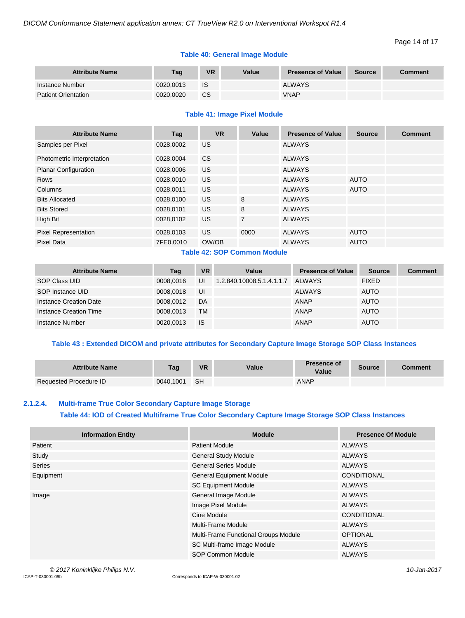# **Table 40: General Image Module**

| <b>Attribute Name</b>      | Tag       | <b>VR</b> | Value | <b>Presence of Value</b> | <b>Source</b> | <b>Comment</b> |
|----------------------------|-----------|-----------|-------|--------------------------|---------------|----------------|
| Instance Number            | 0020.0013 | IS        |       | <b>ALWAYS</b>            |               |                |
| <b>Patient Orientation</b> | 0020.0020 | <b>CS</b> |       | <b>VNAP</b>              |               |                |

## **Table 41: Image Pixel Module**

| <b>Attribute Name</b>       | Tag       | <b>VR</b> | Value          | <b>Presence of Value</b> | <b>Source</b> | <b>Comment</b> |
|-----------------------------|-----------|-----------|----------------|--------------------------|---------------|----------------|
| Samples per Pixel           | 0028,0002 | US        |                | <b>ALWAYS</b>            |               |                |
| Photometric Interpretation  | 0028.0004 | CS.       |                | <b>ALWAYS</b>            |               |                |
| <b>Planar Configuration</b> | 0028,0006 | <b>US</b> |                | <b>ALWAYS</b>            |               |                |
| Rows                        | 0028,0010 | US.       |                | <b>ALWAYS</b>            | <b>AUTO</b>   |                |
| Columns                     | 0028,0011 | US.       |                | <b>ALWAYS</b>            | <b>AUTO</b>   |                |
| <b>Bits Allocated</b>       | 0028,0100 | US.       | 8              | <b>ALWAYS</b>            |               |                |
| <b>Bits Stored</b>          | 0028,0101 | US.       | 8              | <b>ALWAYS</b>            |               |                |
| High Bit                    | 0028,0102 | <b>US</b> | $\overline{7}$ | <b>ALWAYS</b>            |               |                |
| <b>Pixel Representation</b> | 0028,0103 | US.       | 0000           | <b>ALWAYS</b>            | <b>AUTO</b>   |                |
| <b>Pixel Data</b>           | 7FE0,0010 | OW/OB     |                | <b>ALWAYS</b>            | <b>AUTO</b>   |                |

# **Table 42: SOP Common Module**

| <b>Attribute Name</b>  | Tag       | <b>VR</b> | Value                     | <b>Presence of Value</b> | <b>Source</b> | <b>Comment</b> |
|------------------------|-----------|-----------|---------------------------|--------------------------|---------------|----------------|
| SOP Class UID          | 0008.0016 | UI        | 1.2.840.10008.5.1.4.1.1.7 | <b>ALWAYS</b>            | <b>FIXED</b>  |                |
| SOP Instance UID       | 0008.0018 | UI        |                           | <b>ALWAYS</b>            | <b>AUTO</b>   |                |
| Instance Creation Date | 0008.0012 | DA        |                           | ANAP                     | <b>AUTO</b>   |                |
| Instance Creation Time | 0008.0013 | <b>TM</b> |                           | ANAP                     | <b>AUTO</b>   |                |
| Instance Number        | 0020.0013 | <b>IS</b> |                           | <b>ANAP</b>              | <b>AUTO</b>   |                |

# **Table 43 : Extended DICOM and private attributes for Secondary Capture Image Storage SOP Class Instances**

| <b>Attribute Name</b>  | Tag       | <b>VR</b> | Value | <b>Presence of</b><br>Value | <b>Source</b> | <b>Comment</b> |
|------------------------|-----------|-----------|-------|-----------------------------|---------------|----------------|
| Requested Procedure ID | 0040.1001 | SH        |       | ANAP                        |               |                |

#### <span id="page-13-0"></span>**2.1.2.4. Multi-frame True Color Secondary Capture Image Storage**

## **Table 44: IOD of Created Multiframe True Color Secondary Capture Image Storage SOP Class Instances**

| <b>Information Entity</b> | <b>Module</b>                        | <b>Presence Of Module</b> |
|---------------------------|--------------------------------------|---------------------------|
| Patient                   | <b>Patient Module</b>                | <b>ALWAYS</b>             |
| Study                     | <b>General Study Module</b>          | <b>ALWAYS</b>             |
| <b>Series</b>             | <b>General Series Module</b>         | <b>ALWAYS</b>             |
| Equipment                 | <b>General Equipment Module</b>      | <b>CONDITIONAL</b>        |
|                           | <b>SC Equipment Module</b>           | <b>ALWAYS</b>             |
| Image                     | General Image Module                 | <b>ALWAYS</b>             |
|                           | Image Pixel Module                   | <b>ALWAYS</b>             |
|                           | Cine Module                          | <b>CONDITIONAL</b>        |
|                           | <b>Multi-Frame Module</b>            | <b>ALWAYS</b>             |
|                           | Multi-Frame Functional Groups Module | <b>OPTIONAL</b>           |
|                           | SC Multi-frame Image Module          | <b>ALWAYS</b>             |
|                           | <b>SOP Common Module</b>             | <b>ALWAYS</b>             |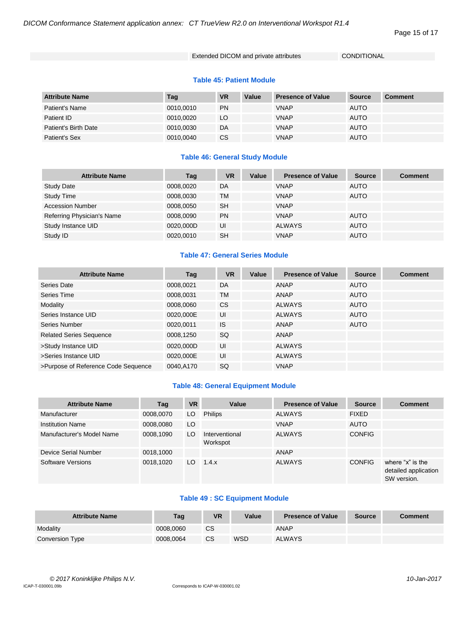#### Page 15 of 17

## Extended DICOM and private attributes CONDITIONAL

#### **Table 45: Patient Module**

| <b>Attribute Name</b> | Tag       | <b>VR</b> | Value | <b>Presence of Value</b> | Source      | <b>Comment</b> |
|-----------------------|-----------|-----------|-------|--------------------------|-------------|----------------|
| Patient's Name        | 0010,0010 | <b>PN</b> |       | <b>VNAP</b>              | <b>AUTO</b> |                |
| Patient ID            | 0010.0020 | LO.       |       | <b>VNAP</b>              | <b>AUTO</b> |                |
| Patient's Birth Date  | 0010.0030 | DA        |       | <b>VNAP</b>              | <b>AUTO</b> |                |
| Patient's Sex         | 0010,0040 | <b>CS</b> |       | <b>VNAP</b>              | <b>AUTO</b> |                |

## **Table 46: General Study Module**

| <b>Attribute Name</b>      | Tag       | <b>VR</b> | Value | <b>Presence of Value</b> | <b>Source</b> | <b>Comment</b> |
|----------------------------|-----------|-----------|-------|--------------------------|---------------|----------------|
| <b>Study Date</b>          | 0008,0020 | DA        |       | <b>VNAP</b>              | AUTO          |                |
| <b>Study Time</b>          | 0008,0030 | TM        |       | <b>VNAP</b>              | <b>AUTO</b>   |                |
| <b>Accession Number</b>    | 0008,0050 | <b>SH</b> |       | <b>VNAP</b>              |               |                |
| Referring Physician's Name | 0008,0090 | <b>PN</b> |       | <b>VNAP</b>              | <b>AUTO</b>   |                |
| Study Instance UID         | 0020,000D | UI        |       | <b>ALWAYS</b>            | <b>AUTO</b>   |                |
| Study ID                   | 0020.0010 | <b>SH</b> |       | <b>VNAP</b>              | <b>AUTO</b>   |                |

# **Table 47: General Series Module**

| <b>Attribute Name</b>               | Tag       | <b>VR</b> | Value | <b>Presence of Value</b> | <b>Source</b> | <b>Comment</b> |
|-------------------------------------|-----------|-----------|-------|--------------------------|---------------|----------------|
| Series Date                         | 0008,0021 | DA        |       | ANAP                     | <b>AUTO</b>   |                |
| Series Time                         | 0008,0031 | <b>TM</b> |       | <b>ANAP</b>              | <b>AUTO</b>   |                |
| Modality                            | 0008,0060 | <b>CS</b> |       | <b>ALWAYS</b>            | <b>AUTO</b>   |                |
| Series Instance UID                 | 0020,000E | UI        |       | <b>ALWAYS</b>            | <b>AUTO</b>   |                |
| Series Number                       | 0020,0011 | <b>IS</b> |       | ANAP                     | <b>AUTO</b>   |                |
| <b>Related Series Sequence</b>      | 0008,1250 | SQ        |       | ANAP                     |               |                |
| >Study Instance UID                 | 0020,000D | UI        |       | <b>ALWAYS</b>            |               |                |
| >Series Instance UID                | 0020.000E | UI        |       | <b>ALWAYS</b>            |               |                |
| >Purpose of Reference Code Sequence | 0040,A170 | SQ        |       | <b>VNAP</b>              |               |                |

## **Table 48: General Equipment Module**

| <b>Attribute Name</b>     | Tag       | <b>VR</b> | Value                      | <b>Presence of Value</b> | <b>Source</b> | <b>Comment</b>                                          |
|---------------------------|-----------|-----------|----------------------------|--------------------------|---------------|---------------------------------------------------------|
| Manufacturer              | 0008,0070 | LO        | <b>Philips</b>             | <b>ALWAYS</b>            | <b>FIXED</b>  |                                                         |
| <b>Institution Name</b>   | 0008,0080 | LO        |                            | <b>VNAP</b>              | <b>AUTO</b>   |                                                         |
| Manufacturer's Model Name | 0008,1090 | LO        | Interventional<br>Workspot | <b>ALWAYS</b>            | <b>CONFIG</b> |                                                         |
| Device Serial Number      | 0018,1000 |           |                            | ANAP                     |               |                                                         |
| Software Versions         | 0018.1020 | LO.       | 1.4.x                      | <b>ALWAYS</b>            | <b>CONFIG</b> | where "x" is the<br>detailed application<br>SW version. |

# **Table 49 : SC Equipment Module**

| <b>Attribute Name</b> | Taq       | <b>VR</b> | Value | <b>Presence of Value</b> | <b>Source</b> | <b>Comment</b> |
|-----------------------|-----------|-----------|-------|--------------------------|---------------|----------------|
| Modality              | 0008.0060 | <b>CS</b> |       | <b>ANAP</b>              |               |                |
| Conversion Type       | 0008.0064 | CS        | WSD   | <b>ALWAYS</b>            |               |                |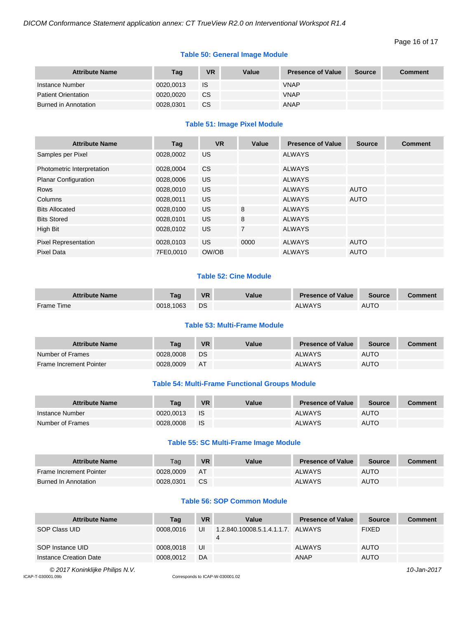# **Table 50: General Image Module**

| <b>Attribute Name</b>      | Tag       | VR        | Value | <b>Presence of Value</b> | Source | <b>Comment</b> |
|----------------------------|-----------|-----------|-------|--------------------------|--------|----------------|
| Instance Number            | 0020.0013 | IS        |       | <b>VNAP</b>              |        |                |
| <b>Patient Orientation</b> | 0020.0020 | <b>CS</b> |       | <b>VNAP</b>              |        |                |
| Burned in Annotation       | 0028.0301 | СS        |       | ANAP                     |        |                |

# **Table 51: Image Pixel Module**

| <b>Attribute Name</b>       | Tag       | <b>VR</b> | Value          | <b>Presence of Value</b> | <b>Source</b> | <b>Comment</b> |
|-----------------------------|-----------|-----------|----------------|--------------------------|---------------|----------------|
| Samples per Pixel           | 0028,0002 | US.       |                | <b>ALWAYS</b>            |               |                |
| Photometric Interpretation  | 0028,0004 | <b>CS</b> |                | <b>ALWAYS</b>            |               |                |
| <b>Planar Configuration</b> | 0028,0006 | US.       |                | <b>ALWAYS</b>            |               |                |
| <b>Rows</b>                 | 0028.0010 | US.       |                | <b>ALWAYS</b>            | <b>AUTO</b>   |                |
| Columns                     | 0028.0011 | US.       |                | <b>ALWAYS</b>            | <b>AUTO</b>   |                |
| <b>Bits Allocated</b>       | 0028,0100 | US.       | 8              | <b>ALWAYS</b>            |               |                |
| <b>Bits Stored</b>          | 0028,0101 | US.       | 8              | <b>ALWAYS</b>            |               |                |
| High Bit                    | 0028,0102 | US.       | $\overline{7}$ | <b>ALWAYS</b>            |               |                |
| <b>Pixel Representation</b> | 0028,0103 | US.       | 0000           | <b>ALWAYS</b>            | <b>AUTO</b>   |                |
| <b>Pixel Data</b>           | 7FE0,0010 | OW/OB     |                | <b>ALWAYS</b>            | <b>AUTO</b>   |                |

# **Table 52: Cine Module**

| <b>Attribute Name</b> | Tag       | <b>VR</b> | Value | <b>Presence of Value</b> | Source      | <b>Comment</b> |
|-----------------------|-----------|-----------|-------|--------------------------|-------------|----------------|
| Frame Time            | 0018.1063 | DS        |       | ALWAYS                   | <b>AUTO</b> |                |

#### **Table 53: Multi-Frame Module**

| <b>Attribute Name</b>   | Taq       | <b>VR</b> | Value | <b>Presence of Value</b> | <b>Source</b> | Comment |
|-------------------------|-----------|-----------|-------|--------------------------|---------------|---------|
| Number of Frames        | 0028,0008 | DS        |       | <b>ALWAYS</b>            | <b>AUTO</b>   |         |
| Frame Increment Pointer | 0028,0009 | <b>AT</b> |       | <b>ALWAYS</b>            | <b>AUTO</b>   |         |

## **Table 54: Multi-Frame Functional Groups Module**

| <b>Attribute Name</b> | Taq       | <b>VR</b> | Value | <b>Presence of Value</b> | <b>Source</b> | <b>Comment</b> |
|-----------------------|-----------|-----------|-------|--------------------------|---------------|----------------|
| Instance Number       | 0020.0013 | - IS      |       | <b>ALWAYS</b>            | <b>AUTO</b>   |                |
| Number of Frames      | 0028.0008 | - IS      |       | <b>ALWAYS</b>            | <b>AUTO</b>   |                |

# **Table 55: SC Multi-Frame Image Module**

| <b>Attribute Name</b>   | Taq       | <b>VR</b> | Value | <b>Presence of Value</b> | <b>Source</b> | Comment |
|-------------------------|-----------|-----------|-------|--------------------------|---------------|---------|
| Frame Increment Pointer | 0028.0009 | <b>AT</b> |       | <b>ALWAYS</b>            | <b>AUTO</b>   |         |
| Burned In Annotation    | 0028.0301 | <b>CS</b> |       | <b>ALWAYS</b>            | <b>AUTO</b>   |         |

# **Table 56: SOP Common Module**

| <b>Attribute Name</b>  | Tag       | <b>VR</b> | Value                                  | <b>Presence of Value</b> | <b>Source</b> | <b>Comment</b> |
|------------------------|-----------|-----------|----------------------------------------|--------------------------|---------------|----------------|
| SOP Class UID          | 0008.0016 | UI        | 1.2.840.10008.5.1.4.1.1.7. ALWAYS<br>4 |                          | <b>FIXED</b>  |                |
| SOP Instance UID       | 0008.0018 | UI        |                                        | <b>ALWAYS</b>            | <b>AUTO</b>   |                |
| Instance Creation Date | 0008.0012 | DA        |                                        | <b>ANAP</b>              | <b>AUTO</b>   |                |

*© 2017 Koninklijke Philips N.V. 10-Jan-2017*